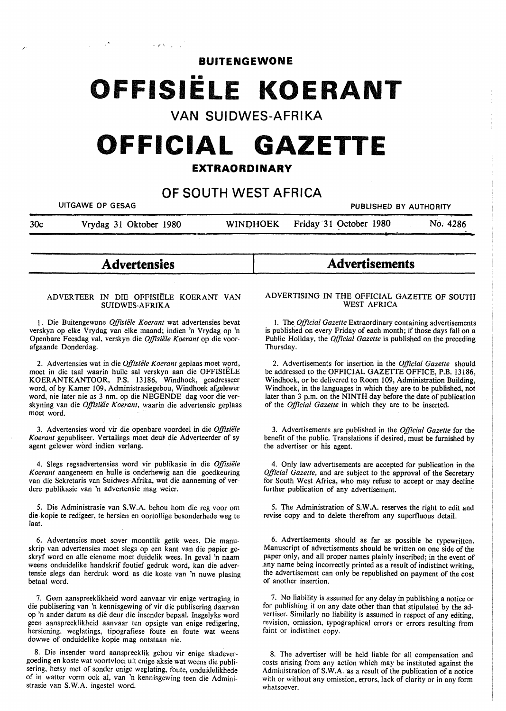**BUITENGEWONE** 

## **OFFISIELE KOERANT**

**VAN SUIDWES-AFRIKA** 

# **OFFICIAL GAZETTE**

## **EXTRAORDINARY**

## **OF SOUTH WEST AFRICA**

UITGAWE OP GESAG PUBLISHED BY AUTHORITY

30c Vrydag 31 Oktober 1980 WINI)HOEK Friday 31 October 1980 No. 4286

**Advertensies** 

 $\mathbb{P}[\mathcal{X}]_{\mathbb{Z}_2}$ 

#### ADVERTEER IN DIE OFFISIELE KOERANT VAN **SUIDWES-AFRIKA**

1. Die Buitengewone *Offisiele Koerant* wat advertensies bevat verskyn op elke Vrydag van elke maand; indien 'n Vrydag op 'n Openbare Feesdag val, verskyn die *Offisiele Koerant* op die voorafgaande Donderdag.

2. Advertensies wat in die *Offisiele Koerant* geplaas moet word, moet in die taal waarin hulle sal verskyn aan die OFFISIELE KOERANTKANTOOR, P.S. 13186, Windhoek, geadresseer word, of by Kamer 109, Administrasiegebou, Windhoek afgelewer word, nie later nie as 3 nm. op die NEGENDE dag voor die verskyning van die *Offisiele Koerant,* waarin die advertensie geplaas moet word.

3. Advertensies word vir die openbare voordeel in die *Offisiele*  Koerant gepubliseer. Vertalings moet deur die Adverteerder of sy agent gelewer word indien verlang.

4. Slegs regsadvertensies word vir publikasie in die *Offisiele Koerant* aangeneem en hulle is onderhewig aan die goedkeuring van die Sekretaris van Suidwes-Afrika, wat die aanneming of verdere publikasie van 'n advertensie mag weier.

5. Die Administrasie van **S.W.A.** behou horn die reg voor om die-kopie te redigeer, te hersien en oortollige besonderhede weg te laat.

6. Advertensies moet sover moontlik getik wees. Die manuskrip van advertensies moet slegs op een kant van die papier geskryf word en alle eiename moet duidelik wees. In geval 'n naam weens onduidelike handskrif foutief gedruk word, kan die advertensie slegs dan herdruk word as die koste van 'n nuwe plasing betaal word.

7. Geen aanspreeklikheid word aanvaar vir enige vertraging in die publisering van 'n kennisgewing of vir die publisering daarvan op 'n ander datum as die deur die insender bepaal. Insgelyks word geen aanspreeklikheid aanvaar ten opsigte van enige redigering, hersiening, weglatings, tipografiese foute en foute wat weens dowwe of onduidelike kopie mag ontstaan nie.

8. Die insender word aanspreeklik gehou vir enige skadevergoeding en koste wat voortvloei uit enige aksie wat weens die publisering, hetsy met of sonder enige weglating, foute, onduidelikhede of in watter vorm ook al, van 'n kennisgewing teen die Administrasie van **S.W.A.** ingestel word.

## **ADVERTISING IN THE OFFICIAL GAZETTE OF SOUTH WEST AFRICA**

**Advertisements** 

1. The *Official Gazette* Extraordinary containing advertisements is published on every Friday of each month; if those days fall on a Public Holiday, the *Official Gazette* is published on the preceding Thursday.

2. Advertisements for insertion in the *Official Gazette* should be addressed to the OFFICIAL GAZETTE OFFICE, P.B. 13186, Windhoek, or be delivered to Room 109, Administration Building, Windhoek, in the languages in which they are to be published, not later than 3 p.m. on the NINTH day before the date of publication of the *Official Gazette* in which they are to be inserted.

3. Advertisements are published in the *Official Gazette* for the benefit of the public. Translations if desired, must be furnished by the advertiser or his agent.

4. Only law advertisements are accepted for publication in the *Official Gazette,* and are subject to the approval of the Secretary for South West Africa, who may refuse to accept or may decline further publication of any advertisement.

5. The Administration of **S.W.A.** reserves the right to edit and revise copy and to delete therefrom any superfluous detail.

6. Advertisements should as far as possible be typewritten. Manuscript of advertisements should be written on one side of the paper only, and all proper names plainly inscribed; in the event of .any name being incorrectly printed as a result of indistinct writing, the advertisement can only be republished on payment of the cost of another insertion.

7. No liability is assumed for any delay in publishing a notice or for publishing it on any date other than that stipulated by the advertiser. Similarly no liability is assumed in respect of any editing, revision, omission, typographical errors or errors resulting from faint or indistinct copy.

8. The advertiser will be held liable for all compensation and costs arising from any action which may be instituted against the Administration of S. W.A. as a result of the publication of a notice with or without any omission, errors, lack of clarity or in any form whatsoever.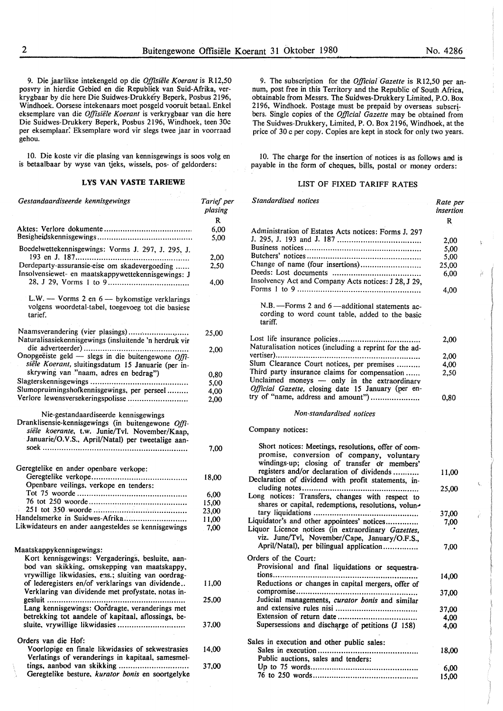9. Die jaarlikse intekengeld op die *Offisiiile Koerant* is Rl2,50 posvry in hierdie Gebied en die Republiek van Suid-Afrika, verkrygbaar by die here Die Suidwes-Drukkery Beperk, Posbus 2196, Windhoek. Oorsese intekenaars moet posgeld vooruit betaal. Enke! eksemplare van die *Offisiiile Koerant* is verkrygbaar van die here Die Suidwes-Drukkery Beperk, Posbus 2196, Windhoek, teen 30c per eksemplaar: Eksemplare word vir slegs twee jaar in voorraad gehou.

10. Die koste vir die plasing van kennisgewings is soos volg en is betaalbaar by wyse van tjeks, wissels, pos- of geldorders:

#### **LYS VAN VASTE TARIEWE**

| Gestandaardiseerde kennisgewings                                                                                                                                                                  | Tarief per<br>plasing |
|---------------------------------------------------------------------------------------------------------------------------------------------------------------------------------------------------|-----------------------|
|                                                                                                                                                                                                   | R                     |
|                                                                                                                                                                                                   | 6,00<br>5,00          |
| Boedelwettekennisgewings: Vorms J. 297, J. 295, J.<br>193 en J. 187                                                                                                                               | 2,00                  |
| Derdeparty-assuransie-eise om skadevergoeding<br>Insolvensiewet- en maatskappywettekennisgewings: J                                                                                               | 2,50                  |
|                                                                                                                                                                                                   | 4,00                  |
| L.W. — Vorms 2 en $6$ — by komstige verklarings<br>volgens woordetal-tabel, toegevoeg tot die basiese<br>tarief.                                                                                  |                       |
| Naamsverandering (vier plasings)<br>Naturalisasiekennisgewings (insluitende 'n herdruk vir                                                                                                        | 25,00                 |
| Onopgeëiste geld — slegs in die buitengewone $Offi$ -<br>siële Koerant, sluitingsdatum 15 Januarie (per in-                                                                                       | 2,00                  |
| skrywing van "naam, adres en bedrag")                                                                                                                                                             |                       |
| Slagterskennisgewings                                                                                                                                                                             | 0,80                  |
| .                                                                                                                                                                                                 | 5,00                  |
| Slumopruimingshofkennisgewings, per perseel<br>Verlore lewensversekeringspolisse                                                                                                                  | 4,00                  |
|                                                                                                                                                                                                   | 2,00                  |
| Nie-gestandaardiseerde kennisgewings<br>Dranklisensie-kennisgewings (in buitengewone Offi-<br>siële koerante, t.w. Junie/Tvl. November/Kaap,<br>Januarie/O.V.S., April/Natal) per tweetalige aan- |                       |
|                                                                                                                                                                                                   | 7,00                  |
|                                                                                                                                                                                                   |                       |
| Geregtelike en ander openbare verkope:                                                                                                                                                            |                       |
|                                                                                                                                                                                                   | 18,00                 |
| Openbare veilings, verkope en tenders:                                                                                                                                                            |                       |
|                                                                                                                                                                                                   | 6,00                  |
|                                                                                                                                                                                                   | 15,00                 |
|                                                                                                                                                                                                   | 23,00                 |
| Handelsmerke in Suidwes-Afrika                                                                                                                                                                    | 11,00                 |
| Likwidateurs en ander aangesteldes se kennisgewings                                                                                                                                               | 7,00                  |
|                                                                                                                                                                                                   |                       |
| Maatskappykennisgewings:                                                                                                                                                                          |                       |
| Kort kennisgewings: Vergaderings, besluite, aan-                                                                                                                                                  |                       |
| bod van skikking, omskepping van maatskappy,                                                                                                                                                      |                       |
| vrywillige likwidasies, ens.; sluiting van oordrag-                                                                                                                                               |                       |
| of lederegisters en/of verklarings van dividende                                                                                                                                                  | 11,00                 |
| Verklaring van dividende met profystate, notas in-                                                                                                                                                |                       |
| gesluit                                                                                                                                                                                           | 25,00                 |
| Lang kennisgewings: Oordragte, veranderings met                                                                                                                                                   |                       |
| betrekking tot aandele of kapitaal, aflossings, be-                                                                                                                                               |                       |
| sluite, vrywillige likwidasies                                                                                                                                                                    | 37,00                 |
|                                                                                                                                                                                                   |                       |
| Orders van die Hof:                                                                                                                                                                               |                       |
| Voorlopige en finale likwidasies of sekwestrasies                                                                                                                                                 | 14,00                 |
| Verlatings of veranderings in kapitaal, samesmel-                                                                                                                                                 |                       |
| tings, aanbod van skikking                                                                                                                                                                        | 37,00                 |
| Geregtelike besture, kurator bonis en soortgelyke                                                                                                                                                 |                       |
|                                                                                                                                                                                                   |                       |

9. The subscription for the *Officia/Gazette* is R12,50 per annum, post free in this Territory and the Republic of South Africa, obtainable from Messrs. The Suidwes-Drukkery Limited, P.O. Box 2196, Windhoek. Postage must be prepaid by overseas subscribers. Single copies of the *Official Gazette* may be obtained from The Suidwes-Drukkery, Limited, P. 0. Box 2196, Windhoek, at the price of 30 c per copy. Copies are kept in stock for only two years.

IO. The charge for the insertion of notices is as follows and is payable in the form of cheques, bills, postal or money orders:

## LIST OF FIXED TARIFF RATES

| Standardised notices                                                                                                                                                                          | Rate per<br><i>insertion</i> |
|-----------------------------------------------------------------------------------------------------------------------------------------------------------------------------------------------|------------------------------|
|                                                                                                                                                                                               | R                            |
| Administration of Estates Acts notices: Forms J. 297                                                                                                                                          |                              |
|                                                                                                                                                                                               | 2,00                         |
|                                                                                                                                                                                               | 5,00                         |
|                                                                                                                                                                                               | 5,00                         |
| Change of name (four insertions)                                                                                                                                                              | 25,00                        |
| Insolvency Act and Company Acts notices: J 28, J 29,                                                                                                                                          | 6,00                         |
|                                                                                                                                                                                               | 4,00                         |
| N.B. - Forms 2 and 6 - additional statements ac-<br>cording to word count table, added to the basic<br>tariff.                                                                                |                              |
|                                                                                                                                                                                               | 2,00                         |
| Naturalisation notices (including a reprint for the ad-                                                                                                                                       |                              |
|                                                                                                                                                                                               | 2,00                         |
| Slum Clearance Court notices, per premises                                                                                                                                                    | 4,00                         |
| Third party insurance claims for compensation<br>Unclaimed moneys - only in the extraordinary                                                                                                 | 2,50                         |
| Official Gazette, closing date 15 January (per en-<br>try of "name, address and amount")                                                                                                      |                              |
|                                                                                                                                                                                               | 0,80                         |
| Non-standardised notices                                                                                                                                                                      |                              |
| Company notices:                                                                                                                                                                              |                              |
| Short notices: Meetings, resolutions, offer of com-<br>promise, conversion of company, voluntary<br>windings-up; closing of transfer or members'<br>registers and/or declaration of dividends | 11,00                        |
| Declaration of dividend with profit statements, in-                                                                                                                                           |                              |
| cluding notes<br>.<br>Long notices: Transfers, changes with respect to<br>shares or capital, redemptions, resolutions, volun-                                                                 | 25,00                        |
|                                                                                                                                                                                               | 37,00                        |
| Liquidator's and other appointees' notices                                                                                                                                                    | 7,00                         |
| Liquor Licence notices (in extraordinary Gazettes,<br>viz. June/Tvl, November/Cape, January/O.F.S.,                                                                                           |                              |
| April/Natal), per bilingual application                                                                                                                                                       | 7,00                         |
| Orders of the Court:                                                                                                                                                                          |                              |
| Provisional and final liquidations or sequestra-                                                                                                                                              |                              |
| tions                                                                                                                                                                                         | 14,00                        |
| Reductions or changes in capital mergers, offer of                                                                                                                                            |                              |
| Judicial managements, curator bonis and similar                                                                                                                                               | 37,00                        |
|                                                                                                                                                                                               | 37,00                        |
|                                                                                                                                                                                               | 4,00                         |
| Supersessions and discharge of petitions (J 158)                                                                                                                                              | 4,00                         |
| Sales in execution and other public sales:                                                                                                                                                    |                              |
|                                                                                                                                                                                               | 18,00                        |

Public auctions, sales and tenders:

Up to 75 words ............................................. . 76 to 250 words ............................................ .

6,00 15,00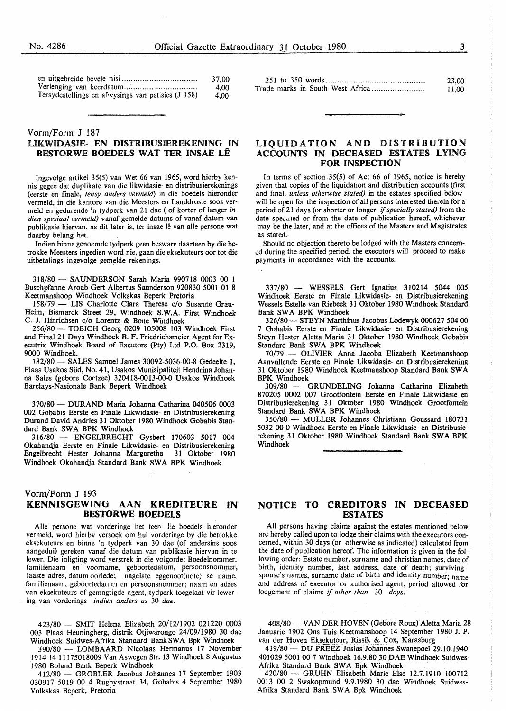|                                                    | 37.00 |
|----------------------------------------------------|-------|
|                                                    | 4.00  |
| Tersydestellings en afwysings van petisies (J 158) | 4.00  |

#### Vorm/Form **J** 187

## **LIKWIDASIE- EN DISTRIBUSIEREKENING** IN **BESTORWE BOEDELS WAT TER INSAE LE**

Ingevolge artikel 35(5) van Wet 66 van 1965, word hierby kennis gegee dat duplikate van die likwidasie- en distribusierekenings (eerste en finale, *tensy anders vermeld)* in die boedels hieronder vermeld, in die kantore van die Meesters en Landdroste soos vermeld en gedurende 'n tydperk van 21 dae ( of korter of langer in*dien spesiaa/ vermeld)* vanaf gemelde datums of vanaf datum van publikasie hiervan, as dit later is, ter insae lê van alle persone wat daarby belang het.

lndien binne genoemde tydperk geen besware daarteen by die betrokke Meesters ingedien word nie, gaan die eksekuteurs oor tot die uitbetalings ingevolge gemelde rekenings.

318/80 - SAUNDERSON Sarah Maria 990718 0003 00 1 Buschpfanne Aroab Gert Albertus Saunderson 920830 5001 01 8 Keetmanshoop Windhoek Volkskas Beperk Pretoria

158/79 - LIS Charlotte Clara Therese c/o Susanne Grau-Heim, Bismarck Street 29, Windhoek **S.W.A.** First Windhoek C. J. Hinrichsen c/o Lorentz & Bone Windhoek

256/80 - TOBICH Georg 0209 105008 103 Windhoek First and Final 21 Days Windhoek B. F. Friedrichsmeier Agent for Executrix Windhoek Board of Excutors (Pty) Ltd P.O. Box 2319, 9000 Windhoek.

182/80- SALES Samuel James 30092-5036-00-8 Gedeelte 1, Plaas Usakos Sud, No. 41, Usakos Munisipaliteit Hendrina Johanna Sales (gebore Coetzee) 320418-0013-00-0 Usakos Windhoek Barclays-Nasionale Bank Beperk Windhoek

370/80- DURAND Maria Johanna Catharina 040506 0003 002 Gobabis Eerste en Finale Likwidasie- en Distribusierekening Durand David Andries 31 Oktober 1980 Windhoek Gobabis Standard Bank SWA BPK Windhoek

316/80 - ENGELBRECHT Gysbert 170603 5017 004 Okahandja Eerste en Finale Likwidasie- en Distribusierekening Engelbrecht Hester Johanna Margaretha 31 Oktober 1980 Windhoek Okahandja Standard Bank SWA BPK Windhoek

### Vorm/Form J 193 **KENNISGEWING AAN KREDITEURE IN BESTORWE BOEDELS**

Alle persone wat vorderinge het teer die boedels hieronder vermeld, word hierby versoek om hul vorderinge by die betrokke eksekuteurs en binne 'n tydperk van 30 dae (of andersins soos aangedui) gereken vanaf die datum van publikasie hiervan in te !ewer. Die inligting word verstrek in die volgorde: Boedelnommer, familienaam en voorname, geboortedatum, persoonsnommer, laaste adres, datum oorlede; nagelate eggenoot(note) se name, familienaam, geboortedatum en persoonsnommer; naam en adres van eksekuteurs of gemagtigde agent, tydperk toegelaat vir lewering van vorderings *indien anders as* 30 *dae.* 

423/80 - SMIT Helena Elizabeth 20/12/1902 021220 0003 003 Plaas Heuningberg, distrik Otjiwarongo 24/09/1980 30 dae Windhoek Suidwes-Afrika Standard Bank SWA Bpk Windhoek

390/80 - LOMBAARD Nicolaas Hermanus 17 November 1914 14 11175018009 Van Aswegen Str. 13 Windhoek 8 Augustus 1980 Boland Bank Beperk Windhoek

412/80 - GROBLER Jacobus Johannes 17 September 1903 030917 5019 00 4 Rugbystraat 34, Gobabis 4 September 1980 Volkskas Beperk, Pretoria

| 23.00 |
|-------|
| 11.00 |

## **LIQUIDATION AND DISTRIBUTION ACCOUNTS IN DECEASED ESTATES LYING FOR INSPECTION**

In terms of section 35(5) of Act 66 of 1965, notice is hereby given that copies of the liquidation and distribution accounts (first and final, *unless otherwise stated)* in the estates specified below will be open for the inspection of all persons interested therein for a period of 21 days (or shorter or longer if *specially stated)* from the date specaled or from the date of publication hereof, whichever may be the later, and at the offices of the Masters and Magistrates as stated.

Should no objection thereto be lodged with the Masters concerned during the specified period, the executors will proceed to make payments in accordance with the accounts.

337/80 - WESSELS Gert Ignatius 310214 5044 *005*  Windhoek Eerste en Finale Likwidasie- en Distribusierekening Wessels Estelle van Riebeek 31 Oktober 1980 Windhoek Standard Bank SWA BPK Windhoek

326/80- STEYN Marthinus Jacobus Lodewyk 000627 504 00 7 Gobabis Eerste en Finale Likwidasie- en Distribusierekening Steyn Hester Aletta Maria 31 Oktober 1980 Windhoek Gobabis Standard Bank SWA BPK Windhoek

70/79 - OLIVIER Anna Jacoba Elizabeth Keetmanshoop Aanvullende Eerste en Finale Likwidasie- en Distribusierekening 31 Oktober 1980 Windhoek Keetmanshoop Standard Bank SWA BPK Windhoek<br> $309/80 - 0$ 

GRUNDELING Johanna Catharina Elizabeth 870205 0002 007 Grootfontein Eerste en Finale Likwidasie en Distribusierekening 31 Oktober 1980 Windhoek Grootfontein Standard Bank SWA BPK Windhoek

350/80 - MULLER Johannes Christiaan Goussard 180731 5032 00 0 Windhoek Eerste en Finale Likwidasie- en Distribusierekening 31 Oktober 1980 Windhoek Standard Bank SWA BPK Windhoek

### **NOTICE TO CREDITORS IN DECEASED ESTATES**

All persons having claims against the estates mentioned below are hereby called upon to lodge their claims with the executors concerned, within 30 days (or otherwise as indicated) calculated from the date of publication hereof. The information is given in the following order: Estate number, surname and christian names, date of birth, identity number, last address, date of death; surviving spouse's names, surname date of birth and identity number; name and address of executor or authorised agent, period allowed for lodgement of claims if *other than* 30 *days.* 

408/80 - VAN DER HOVEN (Gebore Roux) Aletta Maria 28 Januarie 1902 Ons Tuis Keetmanshoop 14 September 1980 J. P. van der Hoven Eksekuteur, Rissik & Cox, Karasburg

419/80 — DU PREEZ Josias Johannes Swanepoel 29.10.1940 401029 5001007 Windhoek 16.9.80 30 DAE Windhoek Suidwes-Afrika Standard Bank **SW A** Bpk Windhoek

420/80 - GRUHN Elisabeth Marie Else 12.7.1910 100712 0013 00 2 Swakopmund 9.9.1980 30 dae Windhoek Suidwes-Afrika Standard Bank **SW A** Bpk Windhoek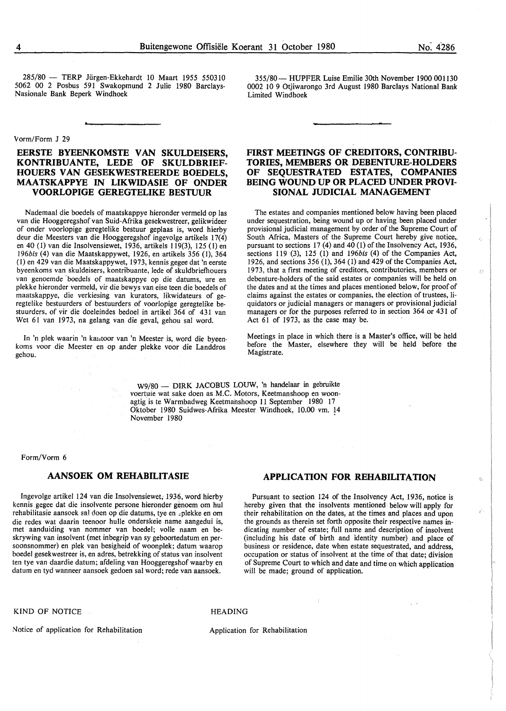285/80 - TERP Jiirgen-Ekkehardt 10 Maart 1955 550310 5062 00 2 Posbus 591 Swakopmund 2 Julie 1980 Barclays-Nasionale Bank Beperk Windhoek

#### Vorm/Form J 29

## **EERSTE BYEENKOMSTE VAN SKULDEISERS, KONTRIBUANTE, LEDE OF SKULDBRIEF-HOUERS VAN GESEKWESTREERDE BOEDELS, MAA TSKAPPYE IN LIKWIDASIE OF ONDER VOORLOPIGE GEREGTELIKE BESTUUR**

Nademaal die boedels of maatskappye hieronder vermeld op las van die Hooggeregshof van Suid-Afrika gesekwestreer, gelikwideer of onder voorlopige geregtelike bestuur geplaas is, word hierby deur die Meesters van die Hooggeregshof ingevolge artikels 17(4) en 40 (I) van die Insolvensiewet, 1936, artikels 119(3), 125 (I) en *l96bis* (4) van die Maatskappywet, 1926, en artikels 356 (1), 364 (I) en 429 van die Maatskappywet, 1973, kennis gegee dat 'n eerste byeenkoms van skuldeisers, kontribuante, lede of skuldbriefhouers van genoemde ·boedels of maatskappye op die datums, ure en plekke hieronder vermeld, vir die bewys van eise teen die boedels of maatskappye, die verkiesing van kurators, likwidateurs of geregtelike bestuurders of bestuurders of voorlopige geregtelike bestuurders, of vir die doeleindes bedoel in artikel 364 of 431 van Wet 61 van 1973, na gelang van die geval, gehou sal word.

In 'n plek waarin 'n ka11toor van 'n Meester is, word die byeenkoms voor die Meester en op ander plekke voor die Landdros gehou.

355/80 - HUPFER Luise Emilie 30th November 1900 001130 0002 IO 9 Otjiwarongo 3rd August 1980 Barclays National Bank Limited Windhoek

## **FIRST MEETINGS OF CREDITORS, CONTRIBU-TORIES, MEMBERS OR DEBENTURE-HOLDERS OF SEQUESTRATED ESTATES, COMPANIES BEING WOUND UP OR PLACED UNDER PROVI-SIONAL JUDICIAL MANAGEMENT**

The estates and companies mentioned below having been placed under sequestration, being wound up or having been placed under provisional.judicial management by order of the Supreme Court of South Africa, Masters of the Supreme Court hereby give notice,. pursuant to sections 17 (4) and 40 (1) of the Insolvency Act, 1936, sections 119 (3), 125 (1) and *l96bis* (4) of the Companies Act, 1926, and sections 356 (1), 364 (l) and 429 of the Companies Act, 1973, that a first meeting of creditors, contributories, members or debenture-holders of the said estates or companies will be held on the dates and at the times and places mentioned below, for proof of claims against the estates or companies, the election of trustees, liquidators or judicial managers or managers or provisional judicial managers or for the purposes referred to in section 364 or 431 of Act 61 of 1973, as the case may be.

Meetings in place in which there is a Master's office, will be held before the Master, elsewhere they will be held before the Magistrate.

W9/80 - DIRK JACOBUS LOUW, 'n handelaar in gebruikte voertuie wat sake doen as M.C. Motors, Keetmanshoop en woonagtig is te Warmbadweg Keetmanshoop 11 September 1980 17 Oktober 1980 Suidwes-Afrika Meester Windhoek, 10.00 vm. 14 November 1980

#### Form/Vorm 6

### **AANSOEK OM REHABILITASIE**

Ingevolge artikel 124 van die Insolvensiewet; 1936, word hierby kennis gegee dat die insolvente persone hieronder genoem om hul rehabilitasie aansoek sa! doen op die datums, tye en .,plekke en om die redes wat daarin teenoor hulle onderskeie name aangedui is, met aanduiding van nommer van boedel; voile naam en beskrywing van insolvent (met inbegrip van sy geboortedatum en persoonsnommer) en plek van besigheid of woonplek; datum waarop boedel gesekwestreer is, en adres, betrekking of status van insolvent ten tye van daardie datum; afdeling van Hooggeregshof waarby en datum en tyd wanneer aansoek gedoen sal word; rede van aansoek.

## **APPLICATION FOR REHABILITATION**

Pursuant to section 124 of the Insolvency Act, 1936, notice is hereby given that the insolvents mentioned below will apply for their rehabilitation on the dates, at the times and places and upon the grounds as therein set forth opposite their respective names indicating number of estate; full name and description of insolvent (including his date of birth and identity number) and place of business or residence, date when estate sequestrated, and address, occupation or status of insolvent at the time of that date; division of Supreme Court to which and date and time on which application will be made; ground of application.

KIND OF NOTICE HEADING

Notice of application for Rehabilitation Application for Rehabilitation

No. 4286

ń

ťì.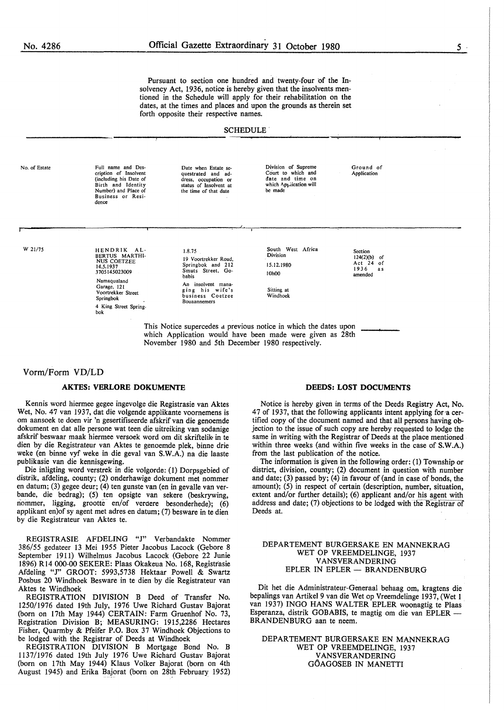Pursuant to **section one hundred and twenty-four of the** In**solvency Act, 1936, notice is hereby given that the insolvents men**tioned **in the Schedule will apply for their rehabilitation on the**  dates, at the **times** and **places and upon the grounds as therein set**  forth opposite **their respective names.** 

#### **SCHEDULE.**

No. of Estate W 21/75 Full name and Des-cription of Insolvent (including his Date of Birth and Identity Number) and Place of Business or Residence HENDRIK AL-BERTUS MARTH!- NUS COETZEE 14.5.1937 3705145023009 Namaqualand Garage, 121 Voortrekker Street Springbok 4 King Street Springbok Date when Estate sequestrated and address, occupation or status of Insolvent at the time of that date 1.8.75 19 Voortrekker Road, Springbok and 212 Smuts Street, Gobabis An insolvent managing his wife's business Coetzee Bouaannemers Division of Supreme Court to which and date and time on which Application will be made South West Africa Division 15.12.1980 IOhOO Sitting at Windhoek Ground of Application Section<br>124(2)(b) of 124(2)(b) of<br>
Act 24 of<br>
1936 as amended This Notice supercedes a previous notice in which the dates upon which Application would have been made were given as 28th November 1980 and 5th December 1980 respectively.

#### Vorm/Form VD/LD

#### **AKTES: VERLORE DOKUMENTE**

Kennis word hiermee gegee ingevolge die Registrasie van Aktes Wet, No. 47 van 1937, dat die volgende applikante voornemens is om aansoek te doen vir 'n gesertifiseerde afskrif van die genoemde dokument en dat alle persone wat teen die uitreiking van sodanige afskrif beswaar maak hiermee versoek word om dit skriftelik, in te dien by die Registrateur van Aktes te genoemde plek, binne drie weke (en binne vyf weke in die geval van **S.W.A.)** na die laaste publikasie van die kennisgewing.

Die inligting word verstrek in die volgorde: (1) Dorpsgebied of distrik, afdeling, county; (2) onderhawige dokument met nommer en datum; (3) gegee deur; (4) ten gunste van (en in gevalle van verbande, die bedrag); (5) ten opsigte van sekere (beskrywing, nommer, ligging, grootte en/of verdere besonderhede); (6) applikant en)of sy agent met adres en datum; (7) besware in te dien by die Registrateur van Aktes te.

REGISTRASIE AFDELING "J" Verbandakte Nommer 386/55 gedateer 13 Mei 1955 Pieter Jacobus Lacock (Gebore 8 September 1911) Wilhelmus Jacobus Lacock (Gebore 22 Junie 1896) R14 000-00 SEKERE: Plaas Okakeua No. 168, Registrasie Afdeling "J" GROOT: 5993,5738 Hektaar Powell & Swartz Posbus 20 Windhoek Besware in te dien by die Registrateur van Aktes te Windhoek

REGISTRATION DIVISION B Deed of Transfer No. 1250/1976 dated 19th July, 1976 Uwe Richard Gustav Bajorat (born on 17th May 1944) CERTAIN: Farm Gruenhof No. 73, Registration Division B; MEASURING: 1915,2286 Hectares Fisher, Quarmby & Pfeifer P.O. Box 37 Windhoek Objections to be lodged with the Registrar of Deeds at Windhoek

REGISTRATION DIVISION B Mortgage Bond No. B 1137/1976 dated 19th July 1976 Uwe Richard Gustav Bajorat (born on 17th May 1944) Klaus Volker Bajorat (born on 4th August 1945) and Erika Bajorat (born on 28th February 1952)

#### **DEEDS: LOST DOCUMENTS**

Notice is hereby given in terms of the Deeds Registry Act, No. 47 of 1937, that the following applicants intent applying for·a certified copy of the document named and that all persons having objection to the issue of such copy are hereby requested to lodge the same in writing with the Registrar of Deeds at the place mentioned within three weeks (and within five weeks in the case of **S.W.A.)**  from the last publication of the notice.

The information is given in the following order: (1) Township or district, division, county; (2) document in question with number and date; (3) passed by; (4) in favour of (and in case of bonds, the amount); (5) in respect of certain (description, number, situation, extent and/or further details); (6) applicant and/or his agent with address and date; (7) objections to be lodged with the Registrar of Deeds at.

#### DEPARTEMENT BURGERSAKE EN MANNEKRAG WET OP VREEMDELINGE, 1937 V ANSVERANDERING EPLER IN EPLER - BRANDENBURG

Dit het die Administrateur-Generaal behaag om, kragtens die bepalings van Artikel 9 van die Wet op Vreemdelinge 1937, (Wet 1 van 1937) INGO HANS WALTER EPLER woonagtig te Plaas Esperanza, distrik GOBABIS, te magtig om die van EPLER - BRANDENBURG aan te neem.

DEPARTEMENT BURGERSAKE EN MANNEKRAG WET OP VREEMDELINGE, 1937 V ANSVERANDERING GOAGOSEB IN MANETTI